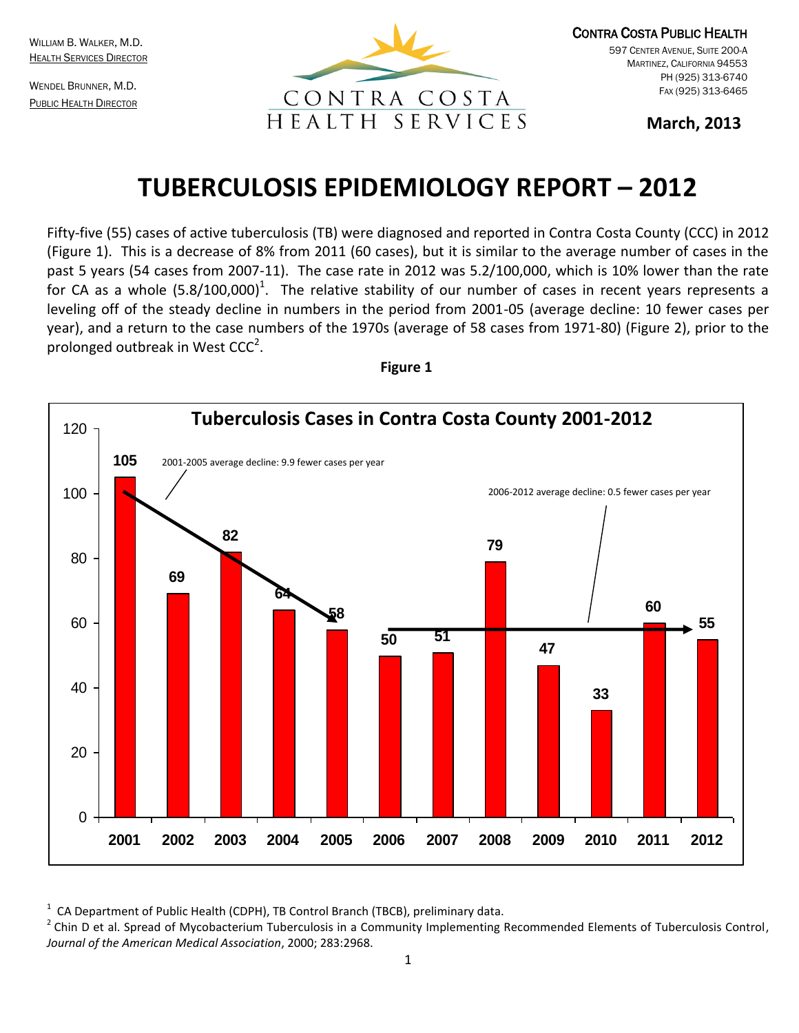WILLIAM B. WALKER, M.D. **HEALTH SERVICES DIRECTOR** 

WENDEL BRUNNER, M.D. PUBLIC HEALTH DIRECTOR



CONTRA COSTA PUBLIC HEALTH 597 CENTER AVENUE, SUITE 200-A MARTINEZ, CALIFORNIA 94553 PH (925) 313-6740 FAX (925) 313-6465

**March, 2013** 

# **TUBERCULOSIS EPIDEMIOLOGY REPORT – 2012**

Fifty-five (55) cases of active tuberculosis (TB) were diagnosed and reported in Contra Costa County (CCC) in 2012 (Figure 1). This is a decrease of 8% from 2011 (60 cases), but it is similar to the average number of cases in the past 5 years (54 cases from 2007-11). The case rate in 2012 was 5.2/100,000, which is 10% lower than the rate for CA as a whole  $(5.8/100,000)^{1}$ . The relative stability of our number of cases in recent years represents a leveling off of the steady decline in numbers in the period from 2001-05 (average decline: 10 fewer cases per year), and a return to the case numbers of the 1970s (average of 58 cases from 1971-80) (Figure 2), prior to the prolonged outbreak in West  $CCC<sup>2</sup>$ .





1 CA Department of Public Health (CDPH), TB Control Branch (TBCB), preliminary data.

<sup>2</sup> Chin D et al. Spread of Mycobacterium Tuberculosis in a Community Implementing Recommended Elements of Tuberculosis Control, *Journal of the American Medical Association*, 2000; 283:2968.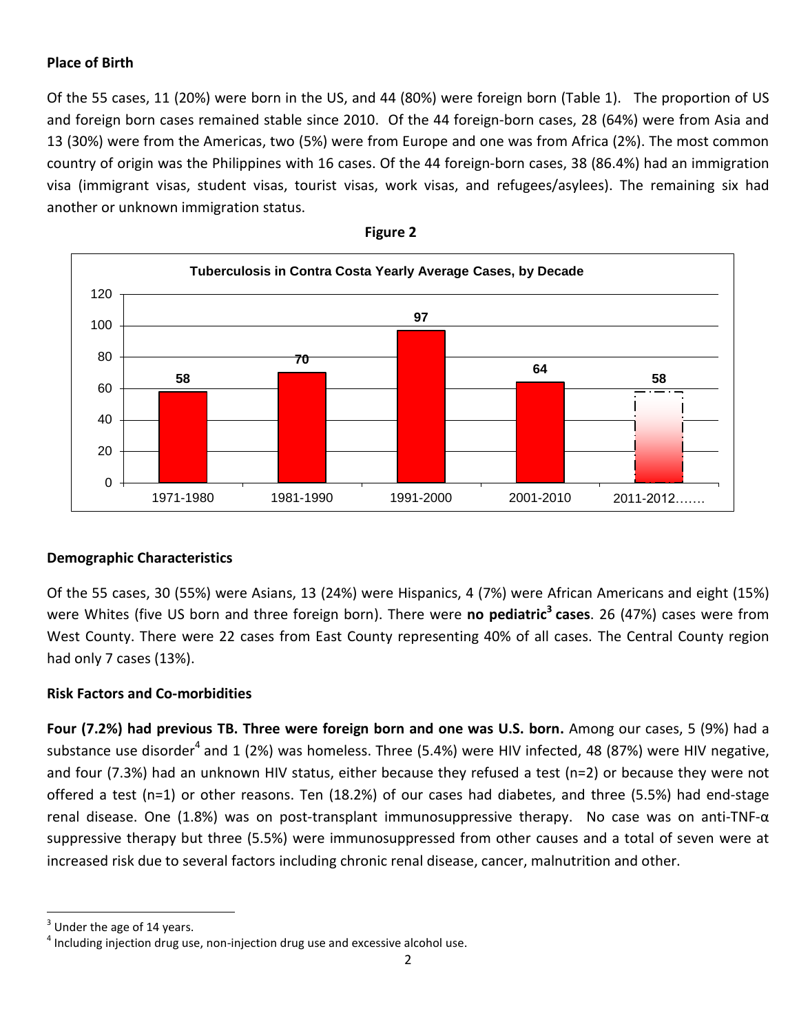## **Place of Birth**

Of the 55 cases, 11 (20%) were born in the US, and 44 (80%) were foreign born (Table 1). The proportion of US and foreign born cases remained stable since 2010. Of the 44 foreign-born cases, 28 (64%) were from Asia and 13 (30%) were from the Americas, two (5%) were from Europe and one was from Africa (2%). The most common country of origin was the Philippines with 16 cases. Of the 44 foreign-born cases, 38 (86.4%) had an immigration visa (immigrant visas, student visas, tourist visas, work visas, and refugees/asylees). The remaining six had another or unknown immigration status.





### **Demographic Characteristics**

Of the 55 cases, 30 (55%) were Asians, 13 (24%) were Hispanics, 4 (7%) were African Americans and eight (15%) were Whites (five US born and three foreign born). There were **no pediatric<sup>3</sup> cases**. 26 (47%) cases were from West County. There were 22 cases from East County representing 40% of all cases. The Central County region had only 7 cases (13%).

### **Risk Factors and Co-morbidities**

**Four (7.2%) had previous TB. Three were foreign born and one was U.S. born.** Among our cases, 5 (9%) had a substance use disorder<sup>4</sup> and 1 (2%) was homeless. Three (5.4%) were HIV infected, 48 (87%) were HIV negative, and four (7.3%) had an unknown HIV status, either because they refused a test (n=2) or because they were not offered a test (n=1) or other reasons. Ten (18.2%) of our cases had diabetes, and three (5.5%) had end-stage renal disease. One (1.8%) was on post-transplant immunosuppressive therapy. No case was on anti-TNF-α suppressive therapy but three (5.5%) were immunosuppressed from other causes and a total of seven were at increased risk due to several factors including chronic renal disease, cancer, malnutrition and other.

 $\overline{\phantom{a}}$ 

 $3$  Under the age of 14 years.

 $<sup>4</sup>$  Including injection drug use, non-injection drug use and excessive alcohol use.</sup>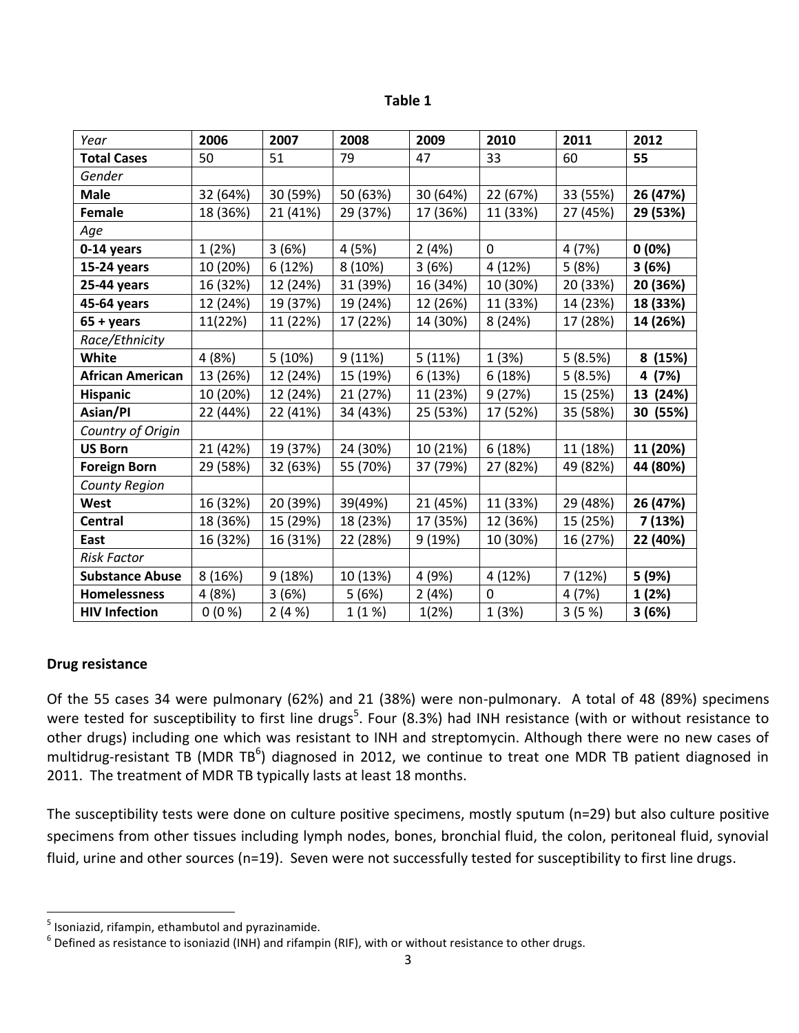| ю<br>Π<br>-<br>æ |  |
|------------------|--|
|------------------|--|

| Year                    | 2006     | 2007     | 2008     | 2009     | 2010        | 2011     | 2012     |
|-------------------------|----------|----------|----------|----------|-------------|----------|----------|
| <b>Total Cases</b>      | 50       | 51       | 79       | 47       | 33          | 60       | 55       |
| Gender                  |          |          |          |          |             |          |          |
| <b>Male</b>             | 32 (64%) | 30 (59%) | 50 (63%) | 30 (64%) | 22 (67%)    | 33 (55%) | 26 (47%) |
| Female                  | 18 (36%) | 21 (41%) | 29 (37%) | 17 (36%) | 11 (33%)    | 27 (45%) | 29 (53%) |
| Age                     |          |          |          |          |             |          |          |
| 0-14 years              | 1(2%)    | 3 (6%)   | 4 (5%)   | 2(4%)    | $\Omega$    | 4 (7%)   | 0(0%)    |
| 15-24 years             | 10 (20%) | 6 (12%)  | 8 (10%)  | 3(6%)    | 4 (12%)     | 5(8%)    | 3(6%)    |
| 25-44 years             | 16 (32%) | 12 (24%) | 31 (39%) | 16 (34%) | 10 (30%)    | 20 (33%) | 20 (36%) |
| 45-64 years             | 12 (24%) | 19 (37%) | 19 (24%) | 12 (26%) | 11 (33%)    | 14 (23%) | 18 (33%) |
| $65 + years$            | 11(22%)  | 11 (22%) | 17 (22%) | 14 (30%) | 8 (24%)     | 17 (28%) | 14 (26%) |
| Race/Ethnicity          |          |          |          |          |             |          |          |
| White                   | 4 (8%)   | 5(10%)   | 9(11%)   | 5 (11%)  | 1(3%)       | 5(8.5%)  | 8 (15%)  |
| <b>African American</b> | 13 (26%) | 12 (24%) | 15 (19%) | 6 (13%)  | 6 (18%)     | 5(8.5%)  | 4 (7%)   |
| <b>Hispanic</b>         | 10 (20%) | 12 (24%) | 21 (27%) | 11 (23%) | 9 (27%)     | 15 (25%) | 13 (24%) |
| Asian/Pl                | 22 (44%) | 22 (41%) | 34 (43%) | 25 (53%) | 17 (52%)    | 35 (58%) | 30 (55%) |
| Country of Origin       |          |          |          |          |             |          |          |
| <b>US Born</b>          | 21 (42%) | 19 (37%) | 24 (30%) | 10 (21%) | 6 (18%)     | 11 (18%) | 11 (20%) |
| <b>Foreign Born</b>     | 29 (58%) | 32 (63%) | 55 (70%) | 37 (79%) | 27 (82%)    | 49 (82%) | 44 (80%) |
| County Region           |          |          |          |          |             |          |          |
| West                    | 16 (32%) | 20 (39%) | 39(49%)  | 21 (45%) | 11 (33%)    | 29 (48%) | 26 (47%) |
| <b>Central</b>          | 18 (36%) | 15 (29%) | 18 (23%) | 17 (35%) | 12 (36%)    | 15 (25%) | 7 (13%)  |
| East                    | 16 (32%) | 16 (31%) | 22 (28%) | 9 (19%)  | 10 (30%)    | 16 (27%) | 22 (40%) |
| <b>Risk Factor</b>      |          |          |          |          |             |          |          |
| <b>Substance Abuse</b>  | 8 (16%)  | 9(18%)   | 10 (13%) | 4 (9%)   | 4 (12%)     | 7(12%)   | 5 (9%)   |
| <b>Homelessness</b>     | 4 (8%)   | 3(6%)    | 5(6%)    | 2(4%)    | $\mathbf 0$ | 4 (7%)   | 1 (2%)   |
| <b>HIV Infection</b>    | $0(0\%)$ | 2(4%)    | 1(1%)    | 1(2%)    | 1(3%)       | 3(5%)    | 3 (6%)   |

### **Drug resistance**

Of the 55 cases 34 were pulmonary (62%) and 21 (38%) were non-pulmonary. A total of 48 (89%) specimens were tested for susceptibility to first line drugs<sup>5</sup>. Four (8.3%) had INH resistance (with or without resistance to other drugs) including one which was resistant to INH and streptomycin. Although there were no new cases of multidrug-resistant TB (MDR TB<sup>6</sup>) diagnosed in 2012, we continue to treat one MDR TB patient diagnosed in 2011. The treatment of MDR TB typically lasts at least 18 months.

The susceptibility tests were done on culture positive specimens, mostly sputum (n=29) but also culture positive specimens from other tissues including lymph nodes, bones, bronchial fluid, the colon, peritoneal fluid, synovial fluid, urine and other sources (n=19). Seven were not successfully tested for susceptibility to first line drugs.

 5 Isoniazid, rifampin, ethambutol and pyrazinamide.

 $^6$  Defined as resistance to isoniazid (INH) and rifampin (RIF), with or without resistance to other drugs.